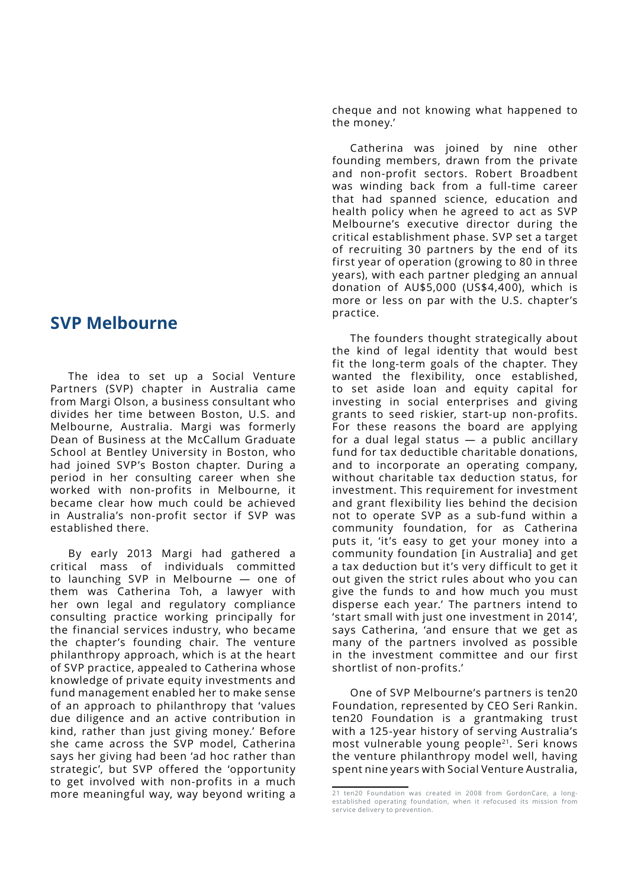## **SVP Melbourne**

The idea to set up a Social Venture Partners (SVP) chapter in Australia came from Margi Olson, a business consultant who divides her time between Boston, U.S. and Melbourne, Australia. Margi was formerly Dean of Business at the McCallum Graduate School at Bentley University in Boston, who had joined SVP's Boston chapter. During a period in her consulting career when she worked with non-profits in Melbourne, it became clear how much could be achieved in Australia's non-profit sector if SVP was established there.

By early 2013 Margi had gathered a critical mass of individuals committed to launching SVP in Melbourne — one of them was Catherina Toh, a lawyer with her own legal and regulatory compliance consulting practice working principally for the financial services industry, who became the chapter's founding chair. The venture philanthropy approach, which is at the heart of SVP practice, appealed to Catherina whose knowledge of private equity investments and fund management enabled her to make sense of an approach to philanthropy that 'values due diligence and an active contribution in kind, rather than just giving money.' Before she came across the SVP model, Catherina says her giving had been 'ad hoc rather than strategic', but SVP offered the 'opportunity to get involved with non-profits in a much more meaningful way, way beyond writing a

cheque and not knowing what happened to the money.'

Catherina was joined by nine other founding members, drawn from the private and non-profit sectors. Robert Broadbent was winding back from a full-time career that had spanned science, education and health policy when he agreed to act as SVP Melbourne's executive director during the critical establishment phase. SVP set a target of recruiting 30 partners by the end of its first year of operation (growing to 80 in three years), with each partner pledging an annual donation of AU\$5,000 (US\$4,400), which is more or less on par with the U.S. chapter's practice.

The founders thought strategically about the kind of legal identity that would best fit the long-term goals of the chapter. They wanted the flexibility, once established, to set aside loan and equity capital for investing in social enterprises and giving grants to seed riskier, start-up non-profits. For these reasons the board are applying for a dual legal status — a public ancillary fund for tax deductible charitable donations, and to incorporate an operating company, without charitable tax deduction status, for investment. This requirement for investment and grant flexibility lies behind the decision not to operate SVP as a sub-fund within a community foundation, for as Catherina puts it, 'it's easy to get your money into a community foundation [in Australia] and get a tax deduction but it's very difficult to get it out given the strict rules about who you can give the funds to and how much you must disperse each year.' The partners intend to 'start small with just one investment in 2014', says Catherina, 'and ensure that we get as many of the partners involved as possible in the investment committee and our first shortlist of non-profits.'

One of SVP Melbourne's partners is ten20 Foundation, represented by CEO Seri Rankin. ten20 Foundation is a grantmaking trust with a 125-year history of serving Australia's most vulnerable young people<sup>21</sup>. Seri knows the venture philanthropy model well, having spent nine years with Social Venture Australia,

<sup>21</sup> ten20 Foundation was created in 2008 from GordonCare, a longestablished operating foundation, when it refocused its mission from service delivery to prevention.